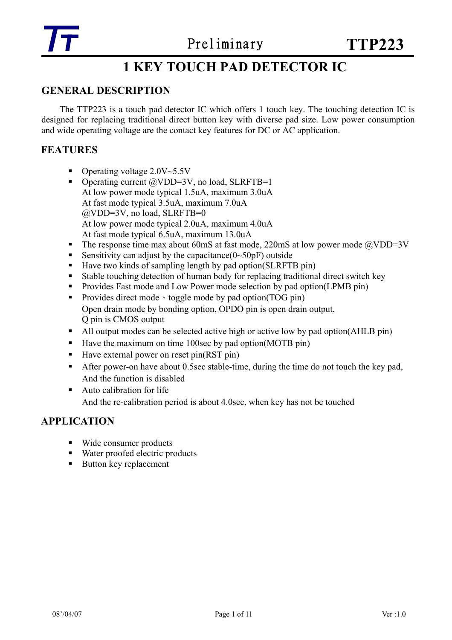# **1 KEY TOUCH PAD DETECTOR IC**

### **GENERAL DESCRIPTION**

The TTP223 is a touch pad detector IC which offers 1 touch key. The touching detection IC is designed for replacing traditional direct button key with diverse pad size. Low power consumption and wide operating voltage are the contact key features for DC or AC application.

### **FEATURES**

- Operating voltage  $2.0V~5.5V$
- Operating current  $\omega$ VDD=3V, no load, SLRFTB=1 At low power mode typical 1.5uA, maximum 3.0uA At fast mode typical 3.5uA, maximum 7.0uA @VDD=3V, no load, SLRFTB=0 At low power mode typical 2.0uA, maximum 4.0uA At fast mode typical 6.5uA, maximum 13.0uA
- The response time max about 60mS at fast mode, 220mS at low power mode  $\omega$ VDD=3V
- Sensitivity can adjust by the capacitance  $(0~50pF)$  outside
- $\blacksquare$  Have two kinds of sampling length by pad option(SLRFTB pin)
- Stable touching detection of human body for replacing traditional direct switch key
- **Provides Fast mode and Low Power mode selection by pad option(LPMB pin)**
- Provides direct mode by pad option(TOG pin) Open drain mode by bonding option, OPDO pin is open drain output, Q pin is CMOS output
- All output modes can be selected active high or active low by pad option(AHLB pin)
- Have the maximum on time 100sec by pad option(MOTB pin)
- $\blacksquare$  Have external power on reset pin(RST pin)
- After power-on have about 0.5sec stable-time, during the time do not touch the key pad, And the function is disabled
- Auto calibration for life And the re-calibration period is about 4.0sec, when key has not be touched

### **APPLICATION**

- Wide consumer products
- Water proofed electric products
- Button key replacement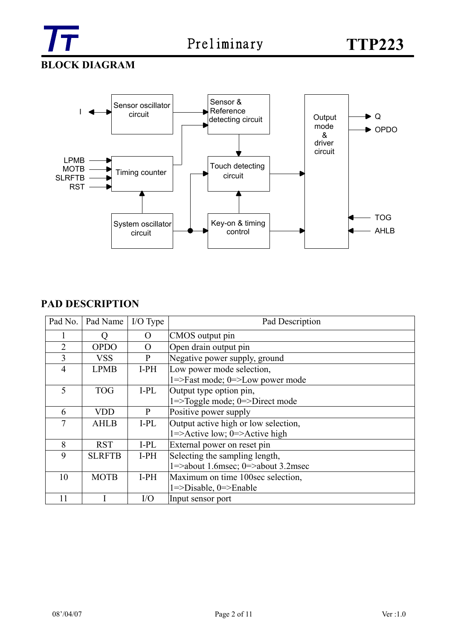

**BLOCK DIAGRAM** 



### **PAD DESCRIPTION**

| Pad No. | Pad Name      | I/O Type       | Pad Description                                                                          |
|---------|---------------|----------------|------------------------------------------------------------------------------------------|
|         |               | O              | CMOS output pin                                                                          |
| 2       | <b>OPDO</b>   | $\overline{O}$ | Open drain output pin                                                                    |
| 3       | <b>VSS</b>    | P              | Negative power supply, ground                                                            |
| 4       | <b>LPMB</b>   | $I-PH$         | Low power mode selection,                                                                |
|         |               |                | $1 =$ -Fast mode; $0 =$ -Low power mode                                                  |
| 5       | <b>TOG</b>    | $I-PL$         | Output type option pin,                                                                  |
|         |               |                | 1=>Toggle mode; 0=>Direct mode                                                           |
| 6       | <b>VDD</b>    | P              | Positive power supply                                                                    |
|         | <b>AHLB</b>   | $I-PL$         | Output active high or low selection,                                                     |
|         |               |                | $1 = \frac{\text{Active low}}{\text{New}}$ ; $0 = \frac{\text{Active high}}{\text{New}}$ |
| 8       | <b>RST</b>    | I-PL           | External power on reset pin                                                              |
| 9       | <b>SLRFTB</b> | $I-PH$         | Selecting the sampling length,                                                           |
|         |               |                | $1 =$ >about 1.6 msec; $0 =$ >about 3.2 msec                                             |
| 10      | <b>MOTB</b>   | $I-PH$         | Maximum on time 100sec selection,                                                        |
|         |               |                | $1 =$ Disable, $0 =$ Enable                                                              |
| 11      |               | I/O            | Input sensor port                                                                        |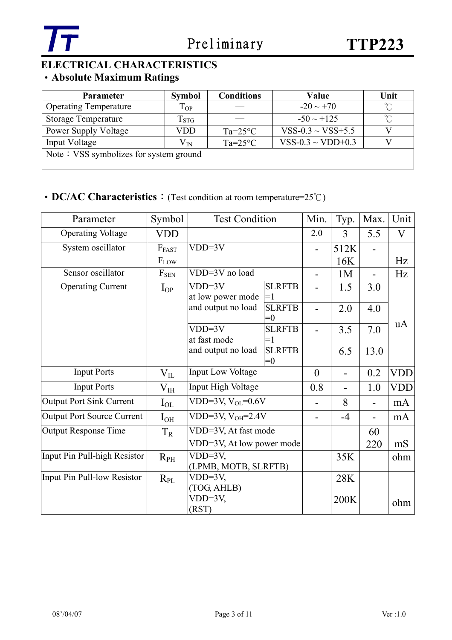

# **ELECTRICAL CHARACTERISTICS**

# ‧**Absolute Maximum Ratings**

| <b>Parameter</b>                       | <b>Symbol</b>      | <b>Conditions</b> | Value                  | Unit |  |  |  |  |  |
|----------------------------------------|--------------------|-------------------|------------------------|------|--|--|--|--|--|
| <b>Operating Temperature</b>           | $T_{OP}$           |                   | $-20 \sim +70$         | ∽    |  |  |  |  |  |
| <b>Storage Temperature</b>             | $\mathrm{T_{STG}}$ |                   | $-50 \sim +125$        |      |  |  |  |  |  |
| <b>Power Supply Voltage</b>            | VDD                | $Ta=25^{\circ}C$  | $VSS-0.3 \sim VSS+5.5$ |      |  |  |  |  |  |
| Input Voltage                          | $\rm V_{IN}$       | $Ta=25^{\circ}C$  | VSS-0.3 ~ VDD+0.3      |      |  |  |  |  |  |
| Note: VSS symbolizes for system ground |                    |                   |                        |      |  |  |  |  |  |

# ‧**DC/AC Characteristics**:(Test condition at room temperature=25℃)

| Parameter                         | Symbol       | <b>Test Condition</b>                                        |                        | Min.           | Typ.           | Max. | Unit       |
|-----------------------------------|--------------|--------------------------------------------------------------|------------------------|----------------|----------------|------|------------|
| <b>Operating Voltage</b>          | <b>VDD</b>   |                                                              |                        | 2.0            | 3              | 5.5  | V          |
| System oscillator                 | $F_{FAST}$   | $VDD=3V$                                                     |                        |                | 512K           |      |            |
|                                   | $F_{LOW}$    |                                                              |                        |                | 16K            |      | Hz         |
| Sensor oscillator                 | $F_{SEN}$    | VDD=3V no load                                               |                        | 1 <sub>M</sub> | $\blacksquare$ | Hz   |            |
| <b>Operating Current</b>          | $I_{OP}$     | $VDD=3V$<br><b>SLRFTB</b><br>at low power mode<br>$\equiv$ ] |                        |                | 1.5            | 3.0  |            |
|                                   |              | and output no load                                           | <b>SLRFTB</b><br>$= 0$ |                | 2.0            | 4.0  |            |
|                                   |              | $VDD=3V$<br>at fast mode                                     | <b>SLRFTB</b><br>$=1$  |                | 3.5            | 7.0  | uA         |
|                                   |              | and output no load                                           | <b>SLRFTB</b><br>$= 0$ |                | 6.5            | 13.0 |            |
| <b>Input Ports</b>                | $\rm V_{II}$ | <b>Input Low Voltage</b>                                     |                        | $\overline{0}$ |                | 0.2  | <b>VDD</b> |
| <b>Input Ports</b>                | $\rm V_{IH}$ | Input High Voltage                                           |                        | 0.8            |                | 1.0  | <b>VDD</b> |
| <b>Output Port Sink Current</b>   | $I_{OL}$     | VDD=3V, $V_{OL}$ =0.6V                                       |                        |                | 8              |      | mA         |
| <b>Output Port Source Current</b> | $I_{OH}$     | VDD=3V, $V_{OH} = 2.4V$                                      |                        |                | $-4$           |      | mA         |
| <b>Output Response Time</b>       | $T_R$        | VDD=3V, At fast mode                                         |                        |                |                | 60   |            |
|                                   |              | VDD=3V, At low power mode                                    |                        |                | 220            | mS   |            |
| Input Pin Pull-high Resistor      | $R_{PH}$     | $VDD=3V$ ,<br>(LPMB, MOTB, SLRFTB)                           |                        |                | 35K            |      | ohm        |
| Input Pin Pull-low Resistor       | $R_{PL}$     | $VDD=3V$ ,                                                   |                        |                | 28K            |      |            |
|                                   |              | (TOG, AHLB)                                                  |                        |                |                |      |            |
|                                   |              | $VDD=3V,$<br>(RST)                                           |                        |                | 200K           |      | ohm        |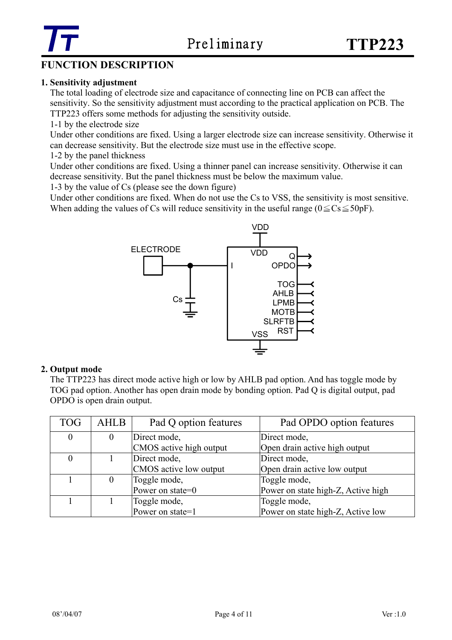

# **FUNCTION DESCRIPTION**

#### **1. Sensitivity adjustment**

 The total loading of electrode size and capacitance of connecting line on PCB can affect the sensitivity. So the sensitivity adjustment must according to the practical application on PCB. The TTP223 offers some methods for adjusting the sensitivity outside.

1-1 by the electrode size

Under other conditions are fixed. Using a larger electrode size can increase sensitivity. Otherwise it can decrease sensitivity. But the electrode size must use in the effective scope.

1-2 by the panel thickness

Under other conditions are fixed. Using a thinner panel can increase sensitivity. Otherwise it can decrease sensitivity. But the panel thickness must be below the maximum value.

1-3 by the value of Cs (please see the down figure)

Under other conditions are fixed. When do not use the Cs to VSS, the sensitivity is most sensitive. When adding the values of Cs will reduce sensitivity in the useful range ( $0 \leq Cs \leq 50p$ F).



#### **2. Output mode**

 The TTP223 has direct mode active high or low by AHLB pad option. And has toggle mode by TOG pad option. Another has open drain mode by bonding option. Pad Q is digital output, pad OPDO is open drain output.

| <b>TOG</b>     | <b>AHLB</b>    | Pad Q option features   | Pad OPDO option features           |
|----------------|----------------|-------------------------|------------------------------------|
| $\overline{0}$ | $\overline{0}$ | Direct mode,            | Direct mode,                       |
|                |                | CMOS active high output | Open drain active high output      |
|                |                | Direct mode,            | Direct mode,                       |
|                |                | CMOS active low output  | Open drain active low output       |
|                | $\theta$       | Toggle mode,            | Toggle mode,                       |
|                |                | Power on state=0        | Power on state high-Z, Active high |
|                |                | Toggle mode,            | Toggle mode,                       |
|                |                | Power on state=1        | Power on state high-Z, Active low  |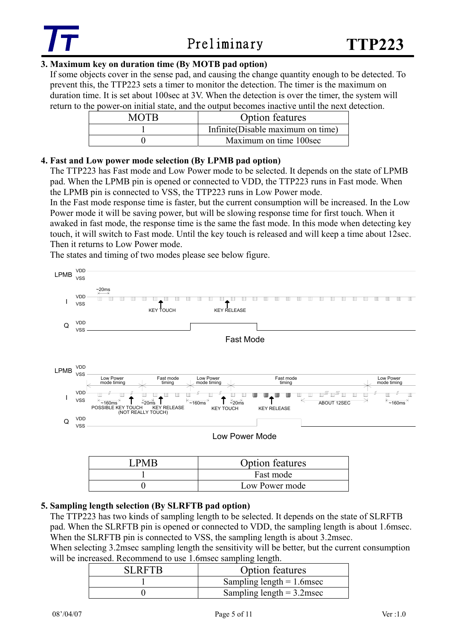### **3. Maximum key on duration time (By MOTB pad option)**

If some objects cover in the sense pad, and causing the change quantity enough to be detected. To prevent this, the TTP223 sets a timer to monitor the detection. The timer is the maximum on duration time. It is set about 100sec at 3V. When the detection is over the timer, the system will return to the power-on initial state, and the output becomes inactive until the next detection.

| MOTB | <b>Option features</b>            |
|------|-----------------------------------|
|      | Infinite(Disable maximum on time) |
|      | Maximum on time 100sec            |

### **4. Fast and Low power mode selection (By LPMB pad option)**

The TTP223 has Fast mode and Low Power mode to be selected. It depends on the state of LPMB pad. When the LPMB pin is opened or connected to VDD, the TTP223 runs in Fast mode. When the LPMB pin is connected to VSS, the TTP223 runs in Low Power mode.

In the Fast mode response time is faster, but the current consumption will be increased. In the Low Power mode it will be saving power, but will be slowing response time for first touch. When it awaked in fast mode, the response time is the same the fast mode. In this mode when detecting key touch, it will switch to Fast mode. Until the key touch is released and will keep a time about 12sec. Then it returns to Low Power mode.

The states and timing of two modes please see below figure.



### **5. Sampling length selection (By SLRFTB pad option)**

The TTP223 has two kinds of sampling length to be selected. It depends on the state of SLRFTB pad. When the SLRFTB pin is opened or connected to VDD, the sampling length is about 1.6msec. When the SLRFTB pin is connected to VSS, the sampling length is about 3.2msec.

When selecting 3.2msec sampling length the sensitivity will be better, but the current consumption will be increased. Recommend to use 1.6msec sampling length.

| SI RETR | <b>Option features</b>       |
|---------|------------------------------|
|         | Sampling length $= 1.6$ msec |
|         | Sampling length $= 3.2$ msec |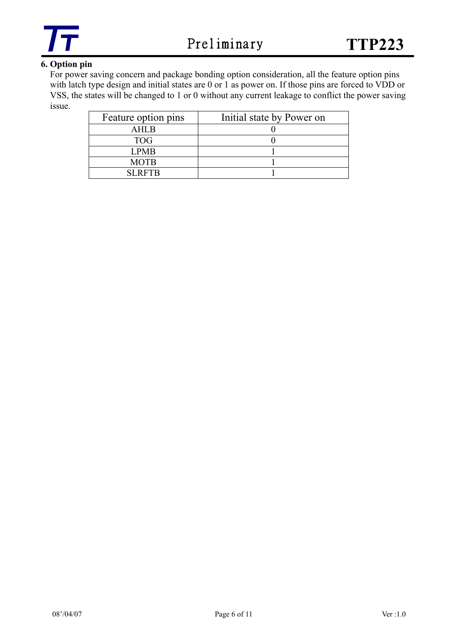

### **6. Option pin**

For power saving concern and package bonding option consideration, all the feature option pins with latch type design and initial states are 0 or 1 as power on. If those pins are forced to VDD or VSS, the states will be changed to 1 or 0 without any current leakage to conflict the power saving issue.

| Feature option pins | Initial state by Power on |
|---------------------|---------------------------|
| AHL <sub>R</sub>    |                           |
| <b>TOG</b>          |                           |
| LPMB                |                           |
| <b>MOTB</b>         |                           |
| <b>SLRFTR</b>       |                           |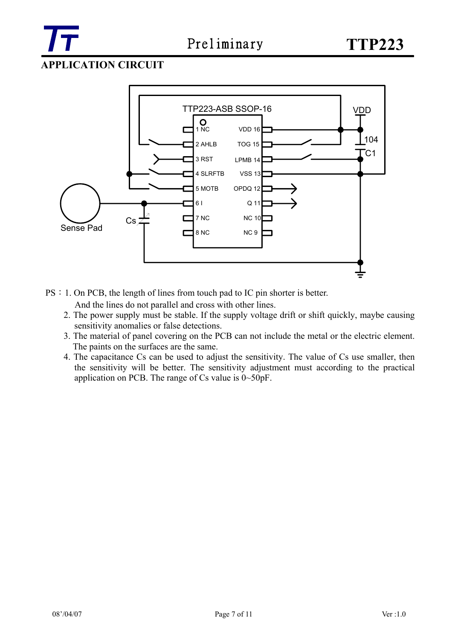

## **APPLICATION CIRCUIT**



PS: 1. On PCB, the length of lines from touch pad to IC pin shorter is better.

And the lines do not parallel and cross with other lines.

- 2. The power supply must be stable. If the supply voltage drift or shift quickly, maybe causing sensitivity anomalies or false detections.
- 3. The material of panel covering on the PCB can not include the metal or the electric element. The paints on the surfaces are the same.
- 4. The capacitance Cs can be used to adjust the sensitivity. The value of Cs use smaller, then the sensitivity will be better. The sensitivity adjustment must according to the practical application on PCB. The range of Cs value is 0~50pF.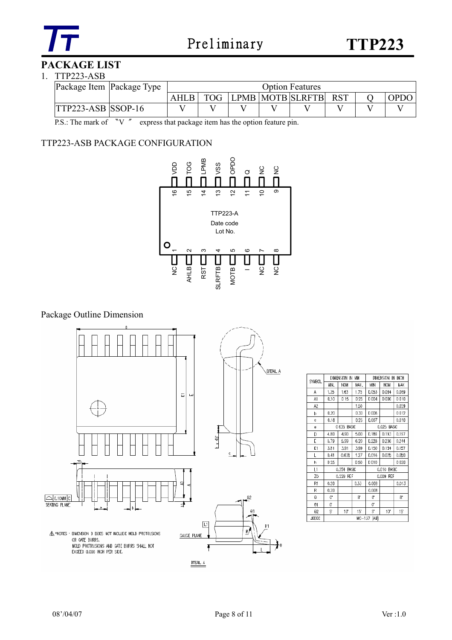

## **PACKAGE LIST**

#### 1. TTP223-ASB

| Package Item Package Type | <b>Option Features</b> |  |  |                      |  |  |             |
|---------------------------|------------------------|--|--|----------------------|--|--|-------------|
|                           | <b>TOG</b>             |  |  | LPMB MOTB SLRFTB RST |  |  | <b>OPDO</b> |
| <b>TTP223-ASB SSOP-16</b> |                        |  |  |                      |  |  |             |

P.S.: The mark of "V " express that package item has the option feature pin.

### TTP223-ASB PACKAGE CONFIGURATION



### Package Outline Dimension



| <b>SYMBOL</b>         |                 | Dimension in MM       |                 |             | INCH<br>DIMENSION<br>IN |       |  |  |
|-----------------------|-----------------|-----------------------|-----------------|-------------|-------------------------|-------|--|--|
|                       | MIN.            | <b>NOM</b>            | MAX.            | МN          | <b>NOM</b>              | MAX   |  |  |
| A                     | 1.35            | 1.63                  | 1.75            | 0.053       | D.064                   | 0.069 |  |  |
| A1                    | 0.10            | 015                   | D <sub>25</sub> | 0004        | D 006                   | 0010  |  |  |
| A <sub>2</sub>        |                 |                       | 1.50            |             |                         | 0.059 |  |  |
| b                     | 0.20            |                       | D 30            | D 008       |                         | 0012  |  |  |
| ¢                     | 0.18            |                       | 0.25            | 0.007       |                         | 0.010 |  |  |
| ê                     |                 | 0 635 BASIC           |                 |             | 0.025 BASIC             |       |  |  |
| D                     | 4.80            | 4.90                  | 5.00            | D.189       | D.193                   | 0.197 |  |  |
| E                     | 5.79            | 5,99                  | 6.20            | 0.228       | 0.236                   | 0.244 |  |  |
| E1                    | 3.81            | 3.91                  | 3.99            | D.150       | D.154                   | 0.157 |  |  |
| L                     | 0.41            | 0.635                 | 1.27            | 0.016       | 0.025                   | 0.050 |  |  |
| h                     | D <sub>25</sub> |                       | 050             | <b>DO10</b> |                         | 0020  |  |  |
| L1                    |                 | 0.254<br><b>BASIC</b> |                 |             | 0.010<br><b>BASIC</b>   |       |  |  |
| ZD                    |                 | 0.229 REF             |                 |             | 0.009<br>REF            |       |  |  |
| R1                    | 0.20            |                       | 0.33            | 0.008       |                         | 0.013 |  |  |
| R                     | 0.20            |                       |                 | 0.008       |                         |       |  |  |
| θ                     | O.              |                       | g               | Œ           |                         | 8     |  |  |
| $\Theta$ 1            | ď               |                       |                 | ď           |                         |       |  |  |
| $\Theta$ <sub>2</sub> | 5               | 10                    | 15'             | 5           | 10                      | 15*   |  |  |
| JEDEC                 |                 |                       | $MO-137$        | (AB)        |                         |       |  |  |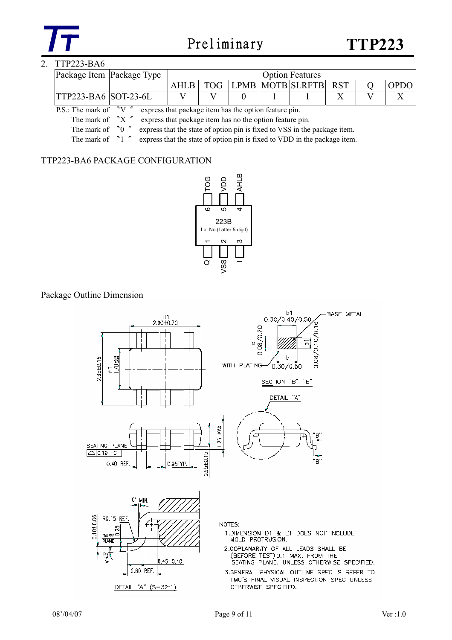

### 2. TTP223-BA6

| Package Item Package Type   |  | <b>Option Features</b> |  |  |                      |  |  |             |
|-----------------------------|--|------------------------|--|--|----------------------|--|--|-------------|
|                             |  | <b>TOG</b>             |  |  | LPMB MOTB SLRFTB RST |  |  | <b>OPDC</b> |
| <b>TTP223-BA6 SOT-23-6L</b> |  |                        |  |  |                      |  |  |             |

P.S.: The mark of "V  $\degree$  express that package item has the option feature pin.

The mark of "X" express that package item has no the option feature pin.

The mark of  $\degree$   $\degree$   $\degree$  express that the state of option pin is fixed to VSS in the package item.

The mark of <sup>N</sup>  $\degree$  <sup>\*</sup> express that the state of option pin is fixed to VDD in the package item.

#### TTP223-BA6 PACKAGE CONFIGURATION



#### Package Outline Dimension

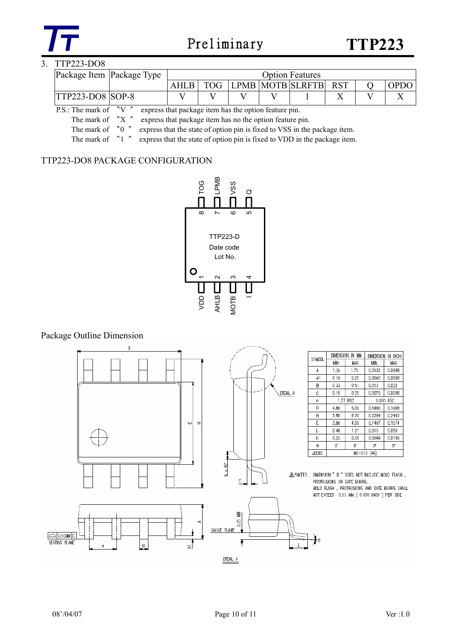

### 3. TTP223-DO8

| Package Item Package Type |            |  | <b>Option Features</b> |  |             |
|---------------------------|------------|--|------------------------|--|-------------|
|                           | <b>TOG</b> |  | LPMB MOTB SLRFTB RST   |  | <b>OPDC</b> |
| <b>TTP223-DO8 SOP-8</b>   |            |  |                        |  |             |

P.S.: The mark of "V  $\degree$  express that package item has the option feature pin.

The mark of "X" express that package item has no the option feature pin.

The mark of  $\degree$   $\degree$   $\degree$  express that the state of option pin is fixed to VSS in the package item.

The mark of <sup>"1</sup> " express that the state of option pin is fixed to VDD in the package item.

#### TTP223-DO8 PACKAGE CONFIGURATION



Package Outline Dimension